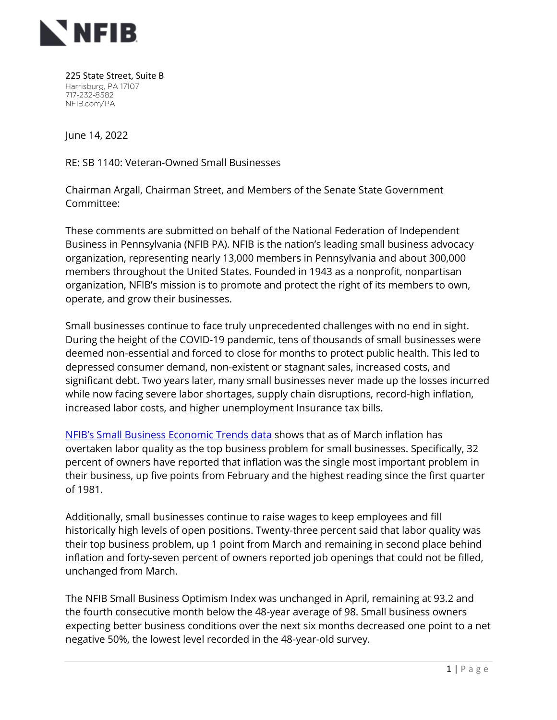

225 State Street, Suite B Harrisburg, PA 17107 717-232-8582 NFIB.com/PA

June 14, 2022

RE: SB 1140: Veteran-Owned Small Businesses

Chairman Argall, Chairman Street, and Members of the Senate State Government Committee:

These comments are submitted on behalf of the National Federation of Independent Business in Pennsylvania (NFIB PA). NFIB is the nation's leading small business advocacy organization, representing nearly 13,000 members in Pennsylvania and about 300,000 members throughout the United States. Founded in 1943 as a nonprofit, nonpartisan organization, NFIB's mission is to promote and protect the right of its members to own, operate, and grow their businesses.

Small businesses continue to face truly unprecedented challenges with no end in sight. During the height of the COVID-19 pandemic, tens of thousands of small businesses were deemed non-essential and forced to close for months to protect public health. This led to depressed consumer demand, non-existent or stagnant sales, increased costs, and significant debt. Two years later, many small businesses never made up the losses incurred while now facing severe labor shortages, supply chain disruptions, record-high inflation, increased labor costs, and higher unemployment Insurance tax bills.

[NFIB's Small Business Economic Trends data](https://www.nfib.com/surveys/small-business-economic-trends/) shows that as of March inflation has overtaken labor quality as the top business problem for small businesses. Specifically, 32 percent of owners have reported that inflation was the single most important problem in their business, up five points from February and the highest reading since the first quarter of 1981.

Additionally, small businesses continue to raise wages to keep employees and fill historically high levels of open positions. Twenty-three percent said that labor quality was their top business problem, up 1 point from March and remaining in second place behind inflation and forty-seven percent of owners reported job openings that could not be filled, unchanged from March.

The NFIB Small Business Optimism Index was unchanged in April, remaining at 93.2 and the fourth consecutive month below the 48-year average of 98. Small business owners expecting better business conditions over the next six months decreased one point to a net negative 50%, the lowest level recorded in the 48-year-old survey.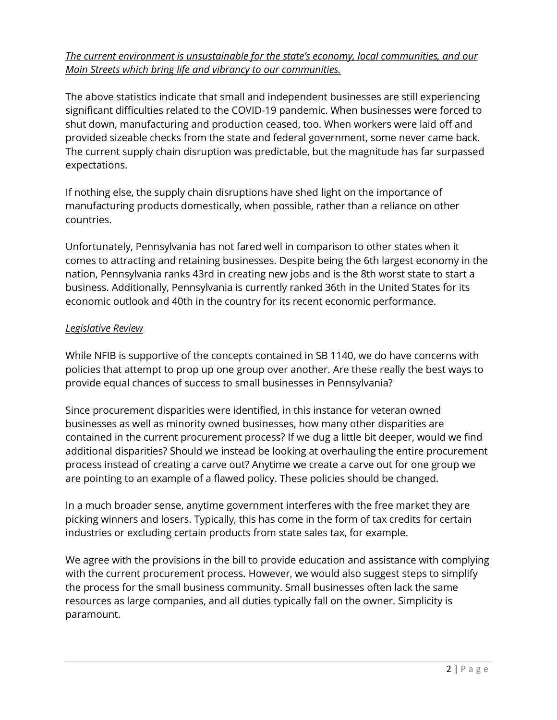## *The current environment is unsustainable for the state's economy, local communities, and our Main Streets which bring life and vibrancy to our communities.*

The above statistics indicate that small and independent businesses are still experiencing significant difficulties related to the COVID-19 pandemic. When businesses were forced to shut down, manufacturing and production ceased, too. When workers were laid off and provided sizeable checks from the state and federal government, some never came back. The current supply chain disruption was predictable, but the magnitude has far surpassed expectations.

If nothing else, the supply chain disruptions have shed light on the importance of manufacturing products domestically, when possible, rather than a reliance on other countries.

Unfortunately, Pennsylvania has not fared well in comparison to other states when it comes to attracting and retaining businesses. Despite being the 6th largest economy in the nation, Pennsylvania ranks 43rd in creating new jobs and is the 8th worst state to start a business. Additionally, Pennsylvania is currently ranked 36th in the United States for its economic outlook and 40th in the country for its recent economic performance.

## *Legislative Review*

While NFIB is supportive of the concepts contained in SB 1140, we do have concerns with policies that attempt to prop up one group over another. Are these really the best ways to provide equal chances of success to small businesses in Pennsylvania?

Since procurement disparities were identified, in this instance for veteran owned businesses as well as minority owned businesses, how many other disparities are contained in the current procurement process? If we dug a little bit deeper, would we find additional disparities? Should we instead be looking at overhauling the entire procurement process instead of creating a carve out? Anytime we create a carve out for one group we are pointing to an example of a flawed policy. These policies should be changed.

In a much broader sense, anytime government interferes with the free market they are picking winners and losers. Typically, this has come in the form of tax credits for certain industries or excluding certain products from state sales tax, for example.

We agree with the provisions in the bill to provide education and assistance with complying with the current procurement process. However, we would also suggest steps to simplify the process for the small business community. Small businesses often lack the same resources as large companies, and all duties typically fall on the owner. Simplicity is paramount.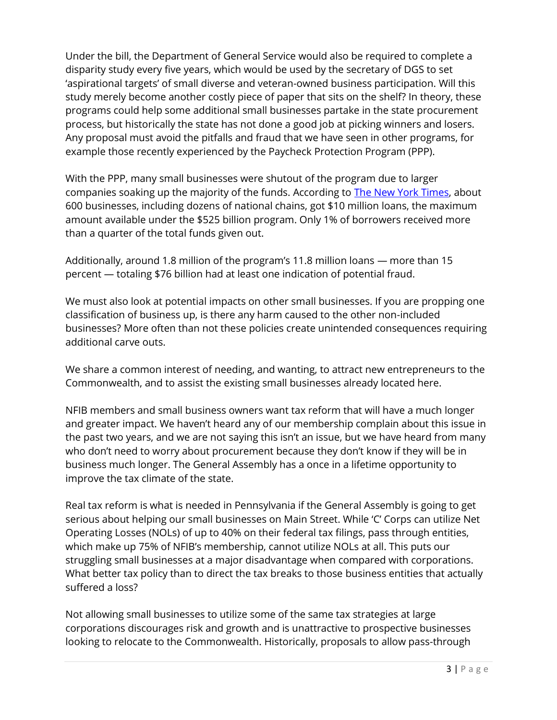Under the bill, the Department of General Service would also be required to complete a disparity study every five years, which would be used by the secretary of DGS to set 'aspirational targets' of small diverse and veteran-owned business participation. Will this study merely become another costly piece of paper that sits on the shelf? In theory, these programs could help some additional small businesses partake in the state procurement process, but historically the state has not done a good job at picking winners and losers. Any proposal must avoid the pitfalls and fraud that we have seen in other programs, for example those recently experienced by the Paycheck Protection Program (PPP).

With the PPP, many small businesses were shutout of the program due to larger companies soaking up the majority of the funds. According to [The New York Times,](https://www.nytimes.com/2020/12/02/business/paycheck-protection-program-coronavirus.html?action=click&module=Top%20Stories&pgtype=Homepage) about 600 businesses, including dozens of national chains, got \$10 million loans, the maximum amount available under the \$525 billion program. Only 1% of borrowers received more than a quarter of the total funds given out.

Additionally, around 1.8 million of the program's 11.8 million loans — more than 15 percent — totaling \$76 billion had at least one indication of potential fraud.

We must also look at potential impacts on other small businesses. If you are propping one classification of business up, is there any harm caused to the other non-included businesses? More often than not these policies create unintended consequences requiring additional carve outs.

We share a common interest of needing, and wanting, to attract new entrepreneurs to the Commonwealth, and to assist the existing small businesses already located here.

NFIB members and small business owners want tax reform that will have a much longer and greater impact. We haven't heard any of our membership complain about this issue in the past two years, and we are not saying this isn't an issue, but we have heard from many who don't need to worry about procurement because they don't know if they will be in business much longer. The General Assembly has a once in a lifetime opportunity to improve the tax climate of the state.

Real tax reform is what is needed in Pennsylvania if the General Assembly is going to get serious about helping our small businesses on Main Street. While 'C' Corps can utilize Net Operating Losses (NOLs) of up to 40% on their federal tax filings, pass through entities, which make up 75% of NFIB's membership, cannot utilize NOLs at all. This puts our struggling small businesses at a major disadvantage when compared with corporations. What better tax policy than to direct the tax breaks to those business entities that actually suffered a loss?

Not allowing small businesses to utilize some of the same tax strategies at large corporations discourages risk and growth and is unattractive to prospective businesses looking to relocate to the Commonwealth. Historically, proposals to allow pass-through